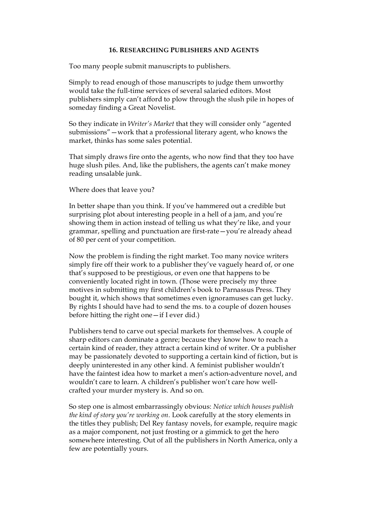## **16. RESEARCHING PUBLISHERS AND AGENTS**

Too many people submit manuscripts to publishers.

Simply to read enough of those manuscripts to judge them unworthy would take the full-time services of several salaried editors. Most publishers simply can't afford to plow through the slush pile in hopes of someday finding a Great Novelist.

So they indicate in *Writer's Market* that they will consider only "agented submissions"—work that a professional literary agent, who knows the market, thinks has some sales potential.

That simply draws fire onto the agents, who now find that they too have huge slush piles. And, like the publishers, the agents can't make money reading unsalable junk.

## Where does that leave you?

In better shape than you think. If you've hammered out a credible but surprising plot about interesting people in a hell of a jam, and you're showing them in action instead of telling us what they're like, and your grammar, spelling and punctuation are first-rate—you're already ahead of 80 per cent of your competition.

Now the problem is finding the right market. Too many novice writers simply fire off their work to a publisher they've vaguely heard of, or one that's supposed to be prestigious, or even one that happens to be conveniently located right in town. (Those were precisely my three motives in submitting my first children's book to Parnassus Press. They bought it, which shows that sometimes even ignoramuses can get lucky. By rights I should have had to send the ms. to a couple of dozen houses before hitting the right one—if I ever did.)

Publishers tend to carve out special markets for themselves. A couple of sharp editors can dominate a genre; because they know how to reach a certain kind of reader, they attract a certain kind of writer. Or a publisher may be passionately devoted to supporting a certain kind of fiction, but is deeply uninterested in any other kind. A feminist publisher wouldn't have the faintest idea how to market a men's action-adventure novel, and wouldn't care to learn. A children's publisher won't care how wellcrafted your murder mystery is. And so on.

So step one is almost embarrassingly obvious: *Notice which houses publish the kind of story you're working on.* Look carefully at the story elements in the titles they publish; Del Rey fantasy novels, for example, require magic as a major component, not just frosting or a gimmick to get the hero somewhere interesting. Out of all the publishers in North America, only a few are potentially yours.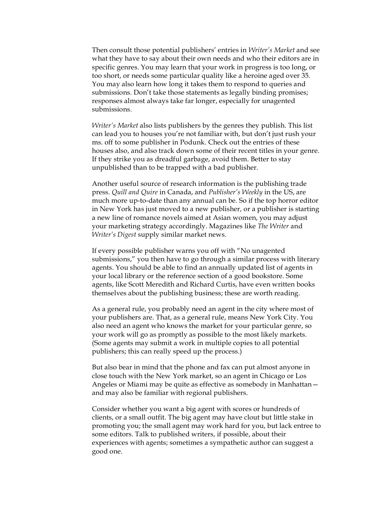Then consult those potential publishers' entries in *Writer's Market* and see what they have to say about their own needs and who their editors are in specific genres. You may learn that your work in progress is too long, or too short, or needs some particular quality like a heroine aged over 35. You may also learn how long it takes them to respond to queries and submissions. Don't take those statements as legally binding promises; responses almost always take far longer, especially for unagented submissions.

*Writer's Market* also lists publishers by the genres they publish. This list can lead you to houses you're not familiar with, but don't just rush your ms. off to some publisher in Podunk. Check out the entries of these houses also, and also track down some of their recent titles in your genre. If they strike you as dreadful garbage, avoid them. Better to stay unpublished than to be trapped with a bad publisher.

Another useful source of research information is the publishing trade press. *Quill and Quire* in Canada, and *Publisher's Weekly* in the US, are much more up-to-date than any annual can be. So if the top horror editor in New York has just moved to a new publisher, or a publisher is starting a new line of romance novels aimed at Asian women, you may adjust your marketing strategy accordingly. Magazines like *The Writer* and *Writer's Digest* supply similar market news.

If every possible publisher warns you off with "No unagented submissions," you then have to go through a similar process with literary agents. You should be able to find an annually updated list of agents in your local library or the reference section of a good bookstore. Some agents, like Scott Meredith and Richard Curtis, have even written books themselves about the publishing business; these are worth reading.

As a general rule, you probably need an agent in the city where most of your publishers are. That, as a general rule, means New York City. You also need an agent who knows the market for your particular genre, so your work will go as promptly as possible to the most likely markets. (Some agents may submit a work in multiple copies to all potential publishers; this can really speed up the process.)

But also bear in mind that the phone and fax can put almost anyone in close touch with the New York market, so an agent in Chicago or Los Angeles or Miami may be quite as effective as somebody in Manhattan and may also be familiar with regional publishers.

Consider whether you want a big agent with scores or hundreds of clients, or a small outfit. The big agent may have clout but little stake in promoting you; the small agent may work hard for you, but lack entree to some editors. Talk to published writers, if possible, about their experiences with agents; sometimes a sympathetic author can suggest a good one.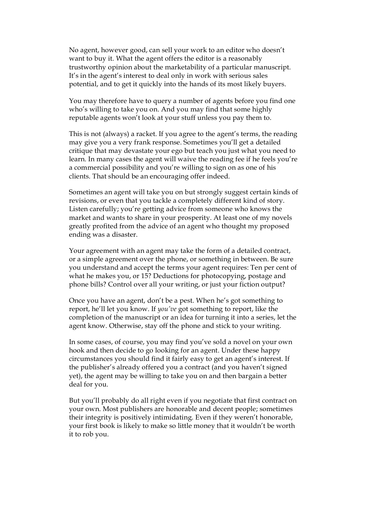No agent, however good, can sell your work to an editor who doesn't want to buy it. What the agent offers the editor is a reasonably trustworthy opinion about the marketability of a particular manuscript. It's in the agent's interest to deal only in work with serious sales potential, and to get it quickly into the hands of its most likely buyers.

You may therefore have to query a number of agents before you find one who's willing to take you on. And you may find that some highly reputable agents won't look at your stuff unless you pay them to.

This is not (always) a racket. If you agree to the agent's terms, the reading may give you a very frank response. Sometimes you'll get a detailed critique that may devastate your ego but teach you just what you need to learn. In many cases the agent will waive the reading fee if he feels you're a commercial possibility and you're willing to sign on as one of his clients. That should be an encouraging offer indeed.

Sometimes an agent will take you on but strongly suggest certain kinds of revisions, or even that you tackle a completely different kind of story. Listen carefully; you're getting advice from someone who knows the market and wants to share in your prosperity. At least one of my novels greatly profited from the advice of an agent who thought my proposed ending was a disaster.

Your agreement with an agent may take the form of a detailed contract, or a simple agreement over the phone, or something in between. Be sure you understand and accept the terms your agent requires: Ten per cent of what he makes you, or 15? Deductions for photocopying, postage and phone bills? Control over all your writing, or just your fiction output?

Once you have an agent, don't be a pest. When he's got something to report, he'll let you know. If *you've* got something to report, like the completion of the manuscript or an idea for turning it into a series, let the agent know. Otherwise, stay off the phone and stick to your writing.

In some cases, of course, you may find you've sold a novel on your own hook and then decide to go looking for an agent. Under these happy circumstances you should find it fairly easy to get an agent's interest. If the publisher's already offered you a contract (and you haven't signed yet), the agent may be willing to take you on and then bargain a better deal for you.

But you'll probably do all right even if you negotiate that first contract on your own. Most publishers are honorable and decent people; sometimes their integrity is positively intimidating. Even if they weren't honorable, your first book is likely to make so little money that it wouldn't be worth it to rob you.